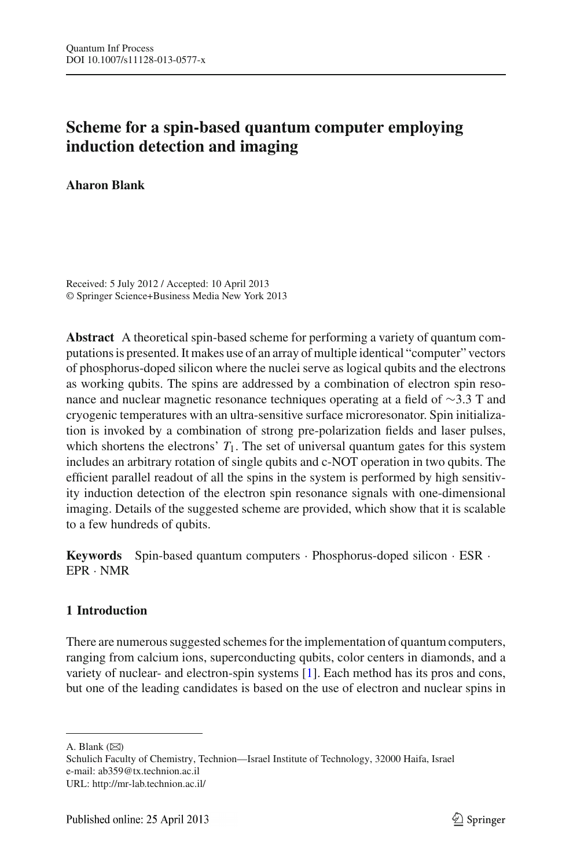# **Scheme for a spin-based quantum computer employing induction detection and imaging**

**Aharon Blank**

Received: 5 July 2012 / Accepted: 10 April 2013 © Springer Science+Business Media New York 2013

**Abstract** A theoretical spin-based scheme for performing a variety of quantum computations is presented. It makes use of an array of multiple identical "computer" vectors of phosphorus-doped silicon where the nuclei serve as logical qubits and the electrons as working qubits. The spins are addressed by a combination of electron spin resonance and nuclear magnetic resonance techniques operating at a field of ∼3.3 T and cryogenic temperatures with an ultra-sensitive surface microresonator. Spin initialization is invoked by a combination of strong pre-polarization fields and laser pulses, which shortens the electrons'  $T_1$ . The set of universal quantum gates for this system includes an arbitrary rotation of single qubits and c-NOT operation in two qubits. The efficient parallel readout of all the spins in the system is performed by high sensitivity induction detection of the electron spin resonance signals with one-dimensional imaging. Details of the suggested scheme are provided, which show that it is scalable to a few hundreds of qubits.

**Keywords** Spin-based quantum computers · Phosphorus-doped silicon · ESR · EPR · NMR

### **1 Introduction**

There are numerous suggested schemes for the implementation of quantum computers, ranging from calcium ions, superconducting qubits, color centers in diamonds, and a variety of nuclear- and electron-spin systems [\[1](#page-12-0)]. Each method has its pros and cons, but one of the leading candidates is based on the use of electron and nuclear spins in

A. Blank  $(\boxtimes)$ 

Schulich Faculty of Chemistry, Technion—Israel Institute of Technology, 32000 Haifa, Israel e-mail: ab359@tx.technion.ac.il URL: http://mr-lab.technion.ac.il/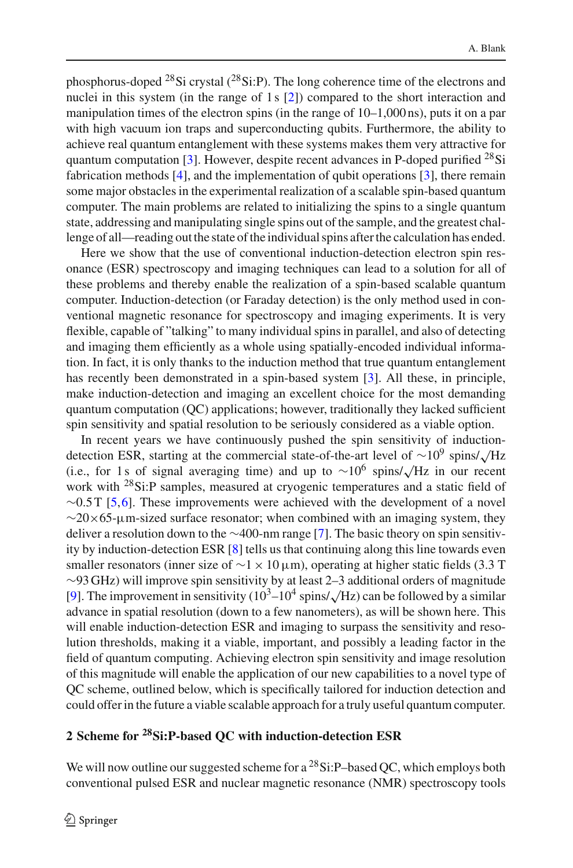phosphorus-doped <sup>28</sup>Si crystal  $(^{28}SiP)$ . The long coherence time of the electrons and nuclei in this system (in the range of 1 s [\[2\]](#page-12-1)) compared to the short interaction and manipulation times of the electron spins (in the range of 10–1,000 ns), puts it on a par with high vacuum ion traps and superconducting qubits. Furthermore, the ability to achieve real quantum entanglement with these systems makes them very attractive for quantum computation [\[3](#page-12-2)]. However, despite recent advances in P-doped purified  $^{28}$ Si fabrication methods [\[4](#page-12-3)], and the implementation of qubit operations [\[3](#page-12-2)], there remain some major obstacles in the experimental realization of a scalable spin-based quantum computer. The main problems are related to initializing the spins to a single quantum state, addressing and manipulating single spins out of the sample, and the greatest challenge of all—reading out the state of the individual spins after the calculation has ended.

Here we show that the use of conventional induction-detection electron spin resonance (ESR) spectroscopy and imaging techniques can lead to a solution for all of these problems and thereby enable the realization of a spin-based scalable quantum computer. Induction-detection (or Faraday detection) is the only method used in conventional magnetic resonance for spectroscopy and imaging experiments. It is very flexible, capable of "talking" to many individual spins in parallel, and also of detecting and imaging them efficiently as a whole using spatially-encoded individual information. In fact, it is only thanks to the induction method that true quantum entanglement has recently been demonstrated in a spin-based system [\[3](#page-12-2)]. All these, in principle, make induction-detection and imaging an excellent choice for the most demanding quantum computation (QC) applications; however, traditionally they lacked sufficient spin sensitivity and spatial resolution to be seriously considered as a viable option.

In recent years we have continuously pushed the spin sensitivity of inductiondetection ESR, starting at the commercial state-of-the-art level of  $\sim 10^9$  spins/ $\sqrt{\text{Hz}}$ (i.e., for 1 s of signal averaging time) and up to  $\sim 10^6$  spins/ $\sqrt{Hz}$  in our recent work with <sup>28</sup>Si:P samples, measured at cryogenic temperatures and a static field of ∼0.5 T [\[5](#page-12-4)[,6](#page-12-5)]. These improvements were achieved with the development of a novel  $\sim$ 20×65-µm-sized surface resonator; when combined with an imaging system, they deliver a resolution down to the ∼400-nm range [\[7\]](#page-12-6). The basic theory on spin sensitivity by induction-detection ESR [\[8](#page-12-7)] tells us that continuing along this line towards even smaller resonators (inner size of  $\sim$ 1 × 10 µm), operating at higher static fields (3.3 T ∼93 GHz) will improve spin sensitivity by at least 2–3 additional orders of magnitude [\[9](#page-12-8)]. The improvement in sensitivity ( $10^3$ – $10^4$  spins/ $\sqrt{Hz}$ ) can be followed by a similar advance in spatial resolution (down to a few nanometers), as will be shown here. This will enable induction-detection ESR and imaging to surpass the sensitivity and resolution thresholds, making it a viable, important, and possibly a leading factor in the field of quantum computing. Achieving electron spin sensitivity and image resolution of this magnitude will enable the application of our new capabilities to a novel type of QC scheme, outlined below, which is specifically tailored for induction detection and could offer in the future a viable scalable approach for a truly useful quantum computer.

## **2 Scheme for 28Si:P-based QC with induction-detection ESR**

We will now outline our suggested scheme for a  $^{28}$ Si:P–based QC, which employs both conventional pulsed ESR and nuclear magnetic resonance (NMR) spectroscopy tools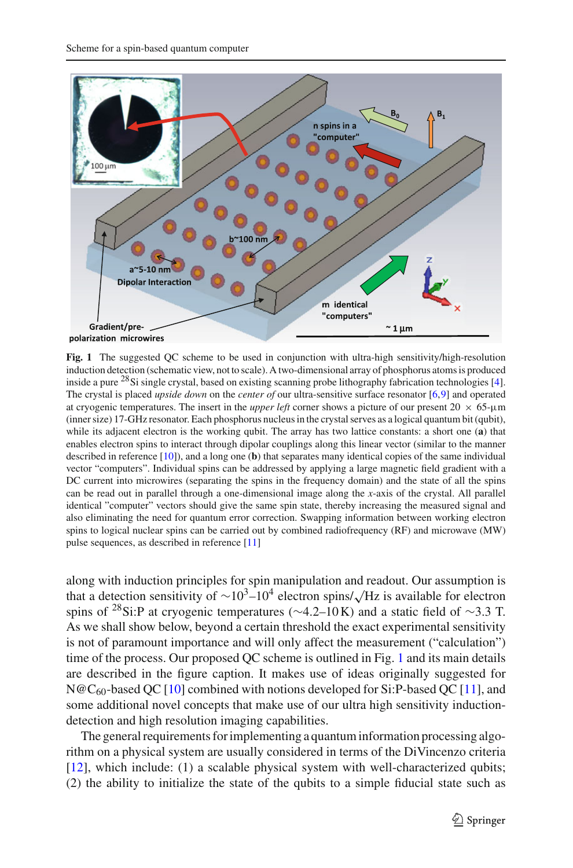

<span id="page-2-0"></span>**Fig. 1** The suggested QC scheme to be used in conjunction with ultra-high sensitivity/high-resolution induction detection (schematic view, not to scale). A two-dimensional array of phosphorus atoms is produced inside a pure 28Si single crystal, based on existing scanning probe lithography fabrication technologies [\[4](#page-12-3)]. The crystal is placed *upside down* on the *center of* our ultra-sensitive surface resonator [\[6](#page-12-5)[,9](#page-12-8)] and operated at cryogenic temperatures. The insert in the *upper left* corner shows a picture of our present  $20 \times 65 - \mu m$ (inner size) 17-GHz resonator. Each phosphorus nucleus in the crystal serves as a logical quantum bit (qubit), while its adjacent electron is the working qubit. The array has two lattice constants: a short one (**a**) that enables electron spins to interact through dipolar couplings along this linear vector (similar to the manner described in reference [\[10](#page-12-9)]), and a long one (**b**) that separates many identical copies of the same individual vector "computers". Individual spins can be addressed by applying a large magnetic field gradient with a DC current into microwires (separating the spins in the frequency domain) and the state of all the spins can be read out in parallel through a one-dimensional image along the *x*-axis of the crystal. All parallel identical "computer" vectors should give the same spin state, thereby increasing the measured signal and also eliminating the need for quantum error correction. Swapping information between working electron spins to logical nuclear spins can be carried out by combined radiofrequency (RF) and microwave (MW) pulse sequences, as described in reference [\[11](#page-12-10)]

along with induction principles for spin manipulation and readout. Our assumption is that a detection sensitivity of  $\sim 10^3$ – $10^4$  electron spins/ $\sqrt{Hz}$  is available for electron spins of <sup>28</sup>Si:P at cryogenic temperatures ( $\sim$ 4.2–10K) and a static field of  $\sim$ 3.3 T. As we shall show below, beyond a certain threshold the exact experimental sensitivity is not of paramount importance and will only affect the measurement ("calculation") time of the process. Our proposed QC scheme is outlined in Fig. [1](#page-2-0) and its main details are described in the figure caption. It makes use of ideas originally suggested for  $N@C_{60}$ -based OC [\[10\]](#page-12-9) combined with notions developed for Si:P-based OC [\[11\]](#page-12-10), and some additional novel concepts that make use of our ultra high sensitivity inductiondetection and high resolution imaging capabilities.

The general requirements for implementing a quantum information processing algorithm on a physical system are usually considered in terms of the DiVincenzo criteria [\[12](#page-12-11)], which include: (1) a scalable physical system with well-characterized qubits; (2) the ability to initialize the state of the qubits to a simple fiducial state such as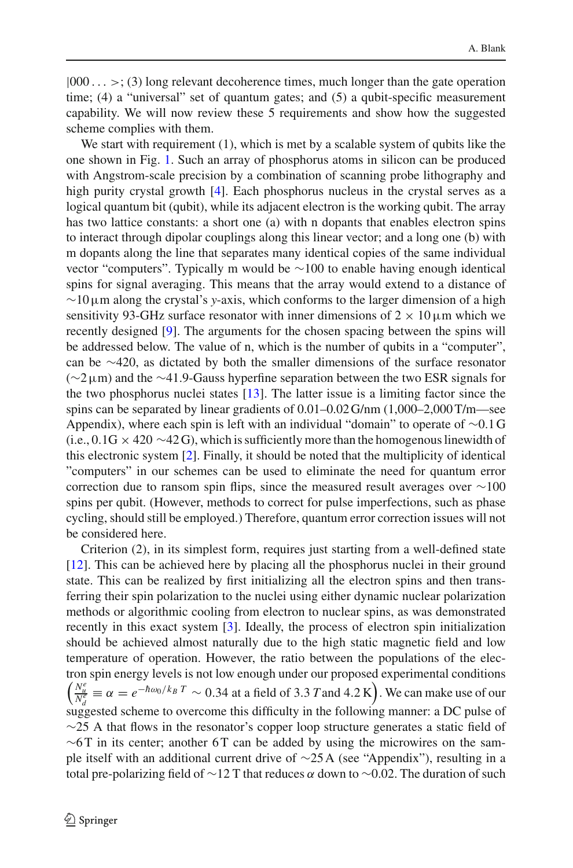$|000...>$ ; (3) long relevant decoherence times, much longer than the gate operation time; (4) a "universal" set of quantum gates; and (5) a qubit-specific measurement capability. We will now review these 5 requirements and show how the suggested scheme complies with them.

We start with requirement (1), which is met by a scalable system of qubits like the one shown in Fig. [1.](#page-2-0) Such an array of phosphorus atoms in silicon can be produced with Angstrom-scale precision by a combination of scanning probe lithography and high purity crystal growth [\[4\]](#page-12-3). Each phosphorus nucleus in the crystal serves as a logical quantum bit (qubit), while its adjacent electron is the working qubit. The array has two lattice constants: a short one (a) with n dopants that enables electron spins to interact through dipolar couplings along this linear vector; and a long one (b) with m dopants along the line that separates many identical copies of the same individual vector "computers". Typically m would be ∼100 to enable having enough identical spins for signal averaging. This means that the array would extend to a distance of ∼10µm along the crystal's *y*-axis, which conforms to the larger dimension of a high sensitivity 93-GHz surface resonator with inner dimensions of  $2 \times 10 \,\mu$ m which we recently designed [\[9](#page-12-8)]. The arguments for the chosen spacing between the spins will be addressed below. The value of n, which is the number of qubits in a "computer", can be ∼420, as dictated by both the smaller dimensions of the surface resonator (∼2µm) and the ∼41.9-Gauss hyperfine separation between the two ESR signals for the two phosphorus nuclei states [\[13](#page-12-12)]. The latter issue is a limiting factor since the spins can be separated by linear gradients of 0.01–0.02 G/nm (1,000–2,000 T/m—see Appendix), where each spin is left with an individual "domain" to operate of ∼0.1 G (i.e., 0.1G  $\times$  420  $\sim$  42G), which is sufficiently more than the homogenous linewidth of this electronic system [\[2\]](#page-12-1). Finally, it should be noted that the multiplicity of identical "computers" in our schemes can be used to eliminate the need for quantum error correction due to ransom spin flips, since the measured result averages over ∼100 spins per qubit. (However, methods to correct for pulse imperfections, such as phase cycling, should still be employed.) Therefore, quantum error correction issues will not be considered here.

Criterion (2), in its simplest form, requires just starting from a well-defined state [\[12](#page-12-11)]. This can be achieved here by placing all the phosphorus nuclei in their ground state. This can be realized by first initializing all the electron spins and then transferring their spin polarization to the nuclei using either dynamic nuclear polarization methods or algorithmic cooling from electron to nuclear spins, as was demonstrated recently in this exact system [\[3](#page-12-2)]. Ideally, the process of electron spin initialization should be achieved almost naturally due to the high static magnetic field and low temperature of operation. However, the ratio between the populations of the electron spin energy levels is not low enough under our proposed experimental conditions  $\left(\frac{N_e^e}{N_a^e}\right) = \alpha = e^{-\hbar\omega_0/k_B T} \sim 0.34$  at a field of 3.3 *T* and 4.2 K). We can make use of our suggested scheme to overcome this difficulty in the following manner: a DC pulse of  $\sim$ 25 A that flows in the resonator's copper loop structure generates a static field of  $~\sim$ 6T in its center; another 6T can be added by using the microwires on the sample itself with an additional current drive of ∼25 A (see "Appendix"), resulting in a total pre-polarizing field of ∼12 T that reduces  $\alpha$  down to ∼0.02. The duration of such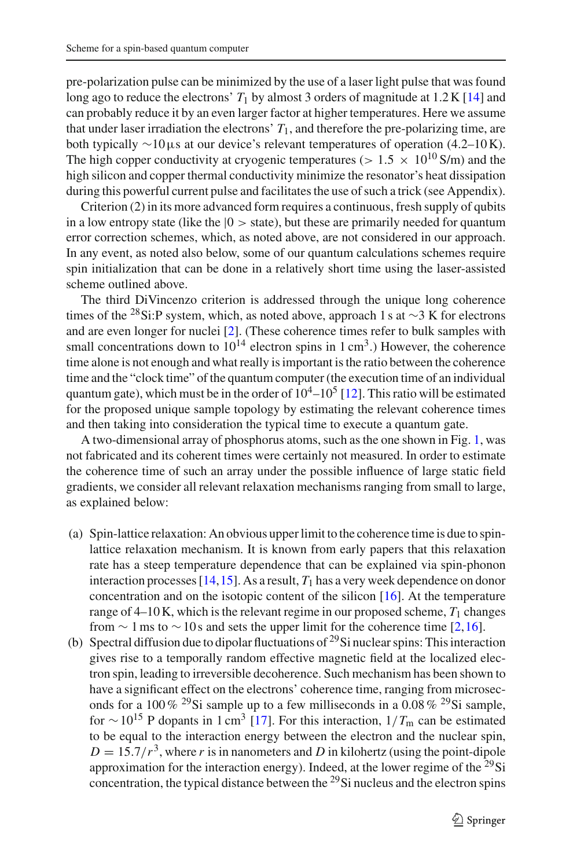pre-polarization pulse can be minimized by the use of a laser light pulse that was found long ago to reduce the electrons'  $T_1$  by almost 3 orders of magnitude at 1.2 K [\[14](#page-12-13)] and can probably reduce it by an even larger factor at higher temperatures. Here we assume that under laser irradiation the electrons'  $T_1$ , and therefore the pre-polarizing time, are both typically ∼10µs at our device's relevant temperatures of operation (4.2–10 K). The high copper conductivity at cryogenic temperatures ( $> 1.5 \times 10^{10}$  S/m) and the high silicon and copper thermal conductivity minimize the resonator's heat dissipation during this powerful current pulse and facilitates the use of such a trick (see Appendix).

Criterion (2) in its more advanced form requires a continuous, fresh supply of qubits in a low entropy state (like the  $|0 \rangle$  state), but these are primarily needed for quantum error correction schemes, which, as noted above, are not considered in our approach. In any event, as noted also below, some of our quantum calculations schemes require spin initialization that can be done in a relatively short time using the laser-assisted scheme outlined above.

The third DiVincenzo criterion is addressed through the unique long coherence times of the 28Si:P system, which, as noted above, approach 1 s at <sup>∼</sup>3 K for electrons and are even longer for nuclei [\[2\]](#page-12-1). (These coherence times refer to bulk samples with small concentrations down to  $10^{14}$  electron spins in  $1 \text{ cm}^3$ .) However, the coherence time alone is not enough and what really is important is the ratio between the coherence time and the "clock time" of the quantum computer (the execution time of an individual quantum gate), which must be in the order of  $10^4$ – $10^5$  [\[12\]](#page-12-11). This ratio will be estimated for the proposed unique sample topology by estimating the relevant coherence times and then taking into consideration the typical time to execute a quantum gate.

A two-dimensional array of phosphorus atoms, such as the one shown in Fig. [1,](#page-2-0) was not fabricated and its coherent times were certainly not measured. In order to estimate the coherence time of such an array under the possible influence of large static field gradients, we consider all relevant relaxation mechanisms ranging from small to large, as explained below:

- (a) Spin-lattice relaxation: An obvious upper limit to the coherence time is due to spinlattice relaxation mechanism. It is known from early papers that this relaxation rate has a steep temperature dependence that can be explained via spin-phonon interaction processes  $[14, 15]$  $[14, 15]$ . As a result,  $T_1$  has a very week dependence on donor concentration and on the isotopic content of the silicon [\[16\]](#page-12-15). At the temperature range of  $4-10$  K, which is the relevant regime in our proposed scheme,  $T_1$  changes from  $\sim$  1 ms to  $\sim$  10s and sets the upper limit for the coherence time [\[2,](#page-12-1)[16\]](#page-12-15).
- (b) Spectral diffusion due to dipolar fluctuations of  $^{29}$ Si nuclear spins: This interaction gives rise to a temporally random effective magnetic field at the localized electron spin, leading to irreversible decoherence. Such mechanism has been shown to have a significant effect on the electrons' coherence time, ranging from microseconds for a 100% <sup>29</sup>Si sample up to a few milliseconds in a  $0.08\%$  <sup>29</sup>Si sample, for  $\sim 10^{15}$  P dopants in 1 cm<sup>3</sup> [\[17](#page-13-0)]. For this interaction,  $1/T_{\text{m}}$  can be estimated to be equal to the interaction energy between the electron and the nuclear spin,  $D = 15.7/r<sup>3</sup>$ , where *r* is in nanometers and *D* in kilohertz (using the point-dipole approximation for the interaction energy). Indeed, at the lower regime of the  $29Si$ concentration, the typical distance between the  $^{29}$ Si nucleus and the electron spins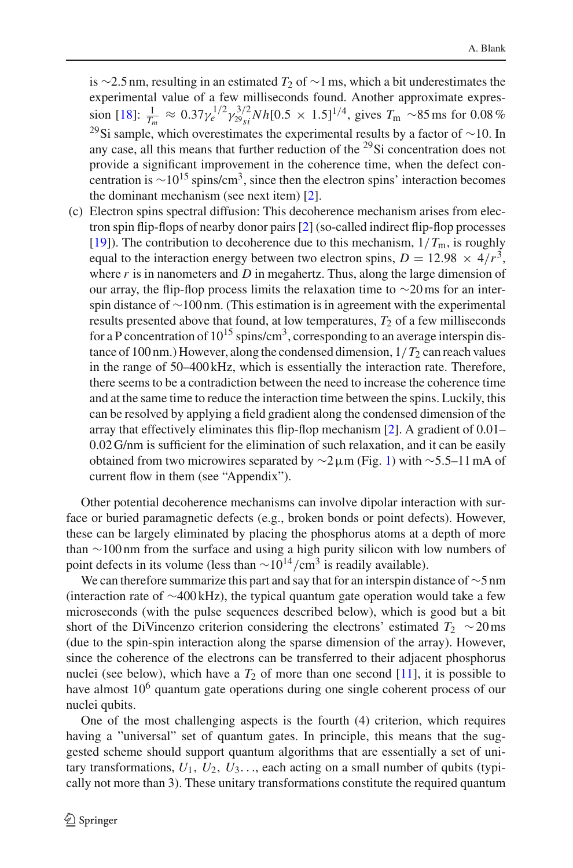is ∼2.5 nm, resulting in an estimated  $T_2$  of ∼1 ms, which a bit underestimates the experimental value of a few milliseconds found. Another approximate expres- $\sin$  [\[18\]](#page-13-1):  $\frac{1}{T_m} \approx 0.37 \gamma_e^{1/2} \gamma_{29_{\rm SI}}^{3/2} N h [0.5 \times 1.5]^{1/4}$ , gives  $T_m \sim 85 \,\text{ms}$  for 0.08 % <sup>29</sup>Si sample, which overestimates the experimental results by a factor of ∼10. In any case, all this means that further reduction of the  $^{29}$ Si concentration does not provide a significant improvement in the coherence time, when the defect concentration is  $\sim 10^{15}$  spins/cm<sup>3</sup>, since then the electron spins' interaction becomes the dominant mechanism (see next item) [\[2](#page-12-1)].

(c) Electron spins spectral diffusion: This decoherence mechanism arises from electron spin flip-flops of nearby donor pairs [\[2](#page-12-1)] (so-called indirect flip-flop processes [\[19\]](#page-13-2)). The contribution to decoherence due to this mechanism,  $1/T<sub>m</sub>$ , is roughly equal to the interaction energy between two electron spins,  $D = 12.98 \times 4/r^3$ , where *r* is in nanometers and *D* in megahertz. Thus, along the large dimension of our array, the flip-flop process limits the relaxation time to ∼20 ms for an interspin distance of ∼100 nm. (This estimation is in agreement with the experimental results presented above that found, at low temperatures,  $T_2$  of a few milliseconds for a P concentration of  $10^{15}$  spins/cm<sup>3</sup>, corresponding to an average interspin distance of 100 nm.) However, along the condensed dimension,  $1/T_2$  can reach values in the range of 50–400 kHz, which is essentially the interaction rate. Therefore, there seems to be a contradiction between the need to increase the coherence time and at the same time to reduce the interaction time between the spins. Luckily, this can be resolved by applying a field gradient along the condensed dimension of the array that effectively eliminates this flip-flop mechanism [\[2\]](#page-12-1). A gradient of 0.01– 0.02 G/nm is sufficient for the elimination of such relaxation, and it can be easily obtained from two microwires separated by ∼2µm (Fig. [1\)](#page-2-0) with ∼5.5–11 mA of current flow in them (see "Appendix").

Other potential decoherence mechanisms can involve dipolar interaction with surface or buried paramagnetic defects (e.g., broken bonds or point defects). However, these can be largely eliminated by placing the phosphorus atoms at a depth of more than ∼100 nm from the surface and using a high purity silicon with low numbers of point defects in its volume (less than  $\sim 10^{14}/\text{cm}^3$  is readily available).

We can therefore summarize this part and say that for an interspin distance of ∼5 nm (interaction rate of ∼400 kHz), the typical quantum gate operation would take a few microseconds (with the pulse sequences described below), which is good but a bit short of the DiVincenzo criterion considering the electrons' estimated  $T_2 \sim 20 \,\text{ms}$ (due to the spin-spin interaction along the sparse dimension of the array). However, since the coherence of the electrons can be transferred to their adjacent phosphorus nuclei (see below), which have a  $T_2$  of more than one second [\[11](#page-12-10)], it is possible to have almost  $10<sup>6</sup>$  quantum gate operations during one single coherent process of our nuclei qubits.

One of the most challenging aspects is the fourth (4) criterion, which requires having a "universal" set of quantum gates. In principle, this means that the suggested scheme should support quantum algorithms that are essentially a set of unitary transformations,  $U_1$ ,  $U_2$ ,  $U_3$ ..., each acting on a small number of qubits (typically not more than 3). These unitary transformations constitute the required quantum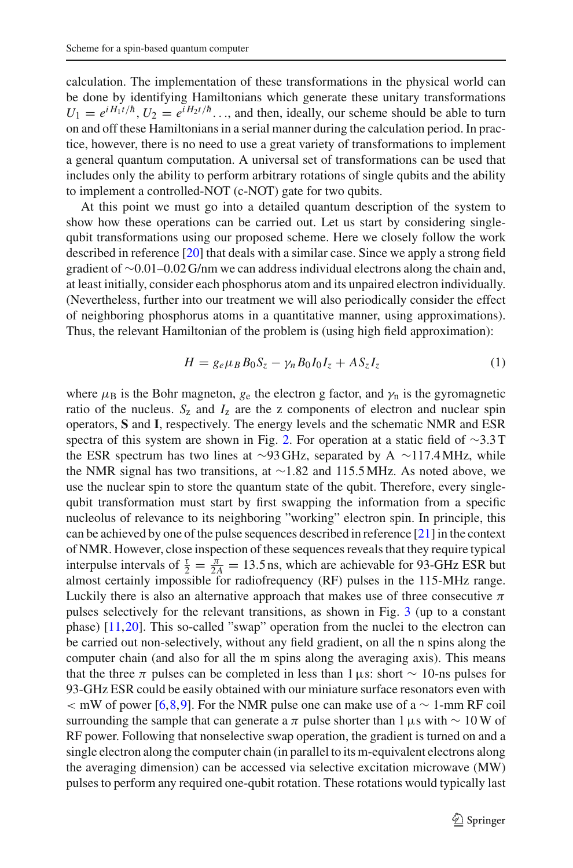calculation. The implementation of these transformations in the physical world can be done by identifying Hamiltonians which generate these unitary transformations  $U_1 = e^{i H_1 t/\hbar}$ ,  $U_2 = e^{i H_2 t/\hbar}$ ..., and then, ideally, our scheme should be able to turn on and off these Hamiltonians in a serial manner during the calculation period. In practice, however, there is no need to use a great variety of transformations to implement a general quantum computation. A universal set of transformations can be used that includes only the ability to perform arbitrary rotations of single qubits and the ability to implement a controlled-NOT (c-NOT) gate for two qubits.

At this point we must go into a detailed quantum description of the system to show how these operations can be carried out. Let us start by considering singlequbit transformations using our proposed scheme. Here we closely follow the work described in reference [\[20\]](#page-13-3) that deals with a similar case. Since we apply a strong field gradient of ∼0.01–0.02 G/nm we can address individual electrons along the chain and, at least initially, consider each phosphorus atom and its unpaired electron individually. (Nevertheless, further into our treatment we will also periodically consider the effect of neighboring phosphorus atoms in a quantitative manner, using approximations). Thus, the relevant Hamiltonian of the problem is (using high field approximation):

$$
H = g_e \mu_B B_0 S_z - \gamma_n B_0 I_0 I_z + A S_z I_z \tag{1}
$$

where  $\mu_B$  is the Bohr magneton,  $g_e$  the electron g factor, and  $\gamma_n$  is the gyromagnetic ratio of the nucleus.  $S_z$  and  $I_z$  are the z components of electron and nuclear spin operators, **S** and **I**, respectively. The energy levels and the schematic NMR and ESR spectra of this system are shown in Fig. [2.](#page-7-0) For operation at a static field of ∼3.3 T the ESR spectrum has two lines at ∼93 GHz, separated by A ∼117.4MHz, while the NMR signal has two transitions, at ∼1.82 and 115.5MHz. As noted above, we use the nuclear spin to store the quantum state of the qubit. Therefore, every singlequbit transformation must start by first swapping the information from a specific nucleolus of relevance to its neighboring "working" electron spin. In principle, this can be achieved by one of the pulse sequences described in reference [\[21\]](#page-13-4) in the context of NMR. However, close inspection of these sequences reveals that they require typical interpulse intervals of  $\frac{\tau}{2} = \frac{\pi}{2A} = 13.5$  ns, which are achievable for 93-GHz ESR but almost certainly impossible for radiofrequency (RF) pulses in the 115-MHz range. Luckily there is also an alternative approach that makes use of three consecutive  $\pi$ pulses selectively for the relevant transitions, as shown in Fig. [3](#page-8-0) (up to a constant phase) [\[11](#page-12-10)[,20](#page-13-3)]. This so-called "swap" operation from the nuclei to the electron can be carried out non-selectively, without any field gradient, on all the n spins along the computer chain (and also for all the m spins along the averaging axis). This means that the three  $\pi$  pulses can be completed in less than 1 µs: short  $\sim$  10-ns pulses for 93-GHz ESR could be easily obtained with our miniature surface resonators even with  $\alpha$  mW of power [\[6](#page-12-5)[,8](#page-12-7),[9\]](#page-12-8). For the NMR pulse one can make use of a  $\sim$  1-mm RF coil surrounding the sample that can generate a  $\pi$  pulse shorter than 1 µs with  $\sim 10 \,\text{W}$  of RF power. Following that nonselective swap operation, the gradient is turned on and a single electron along the computer chain (in parallel to its m-equivalent electrons along the averaging dimension) can be accessed via selective excitation microwave (MW) pulses to perform any required one-qubit rotation. These rotations would typically last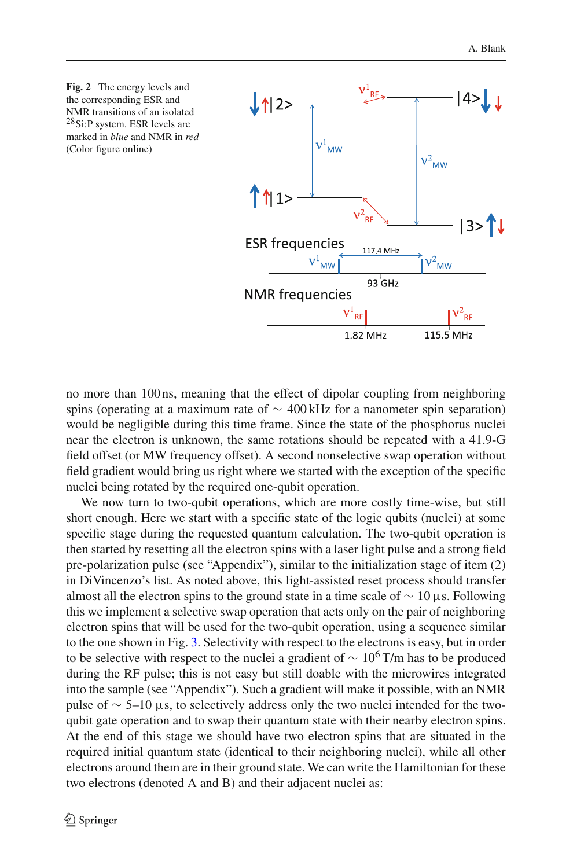<span id="page-7-0"></span>

no more than 100 ns, meaning that the effect of dipolar coupling from neighboring spins (operating at a maximum rate of  $\sim$  400 kHz for a nanometer spin separation) would be negligible during this time frame. Since the state of the phosphorus nuclei near the electron is unknown, the same rotations should be repeated with a 41.9-G field offset (or MW frequency offset). A second nonselective swap operation without field gradient would bring us right where we started with the exception of the specific nuclei being rotated by the required one-qubit operation.

We now turn to two-qubit operations, which are more costly time-wise, but still short enough. Here we start with a specific state of the logic qubits (nuclei) at some specific stage during the requested quantum calculation. The two-qubit operation is then started by resetting all the electron spins with a laser light pulse and a strong field pre-polarization pulse (see "Appendix"), similar to the initialization stage of item (2) in DiVincenzo's list. As noted above, this light-assisted reset process should transfer almost all the electron spins to the ground state in a time scale of  $\sim 10 \,\mu s$ . Following this we implement a selective swap operation that acts only on the pair of neighboring electron spins that will be used for the two-qubit operation, using a sequence similar to the one shown in Fig. [3.](#page-8-0) Selectivity with respect to the electrons is easy, but in order to be selective with respect to the nuclei a gradient of  $\sim 10^6$  T/m has to be produced during the RF pulse; this is not easy but still doable with the microwires integrated into the sample (see "Appendix"). Such a gradient will make it possible, with an NMR pulse of  $\sim$  5–10 µs, to selectively address only the two nuclei intended for the twoqubit gate operation and to swap their quantum state with their nearby electron spins. At the end of this stage we should have two electron spins that are situated in the required initial quantum state (identical to their neighboring nuclei), while all other electrons around them are in their ground state. We can write the Hamiltonian for these two electrons (denoted A and B) and their adjacent nuclei as: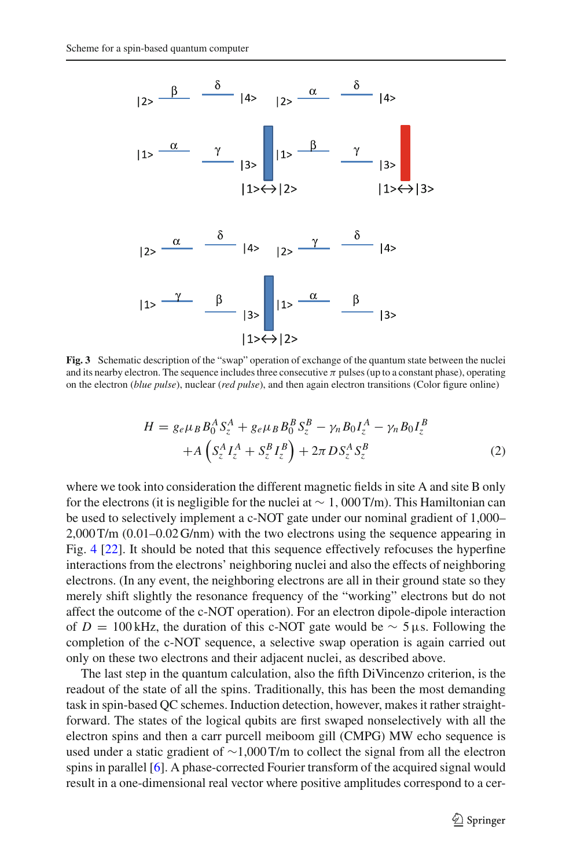

<span id="page-8-0"></span>**Fig. 3** Schematic description of the "swap" operation of exchange of the quantum state between the nuclei and its nearby electron. The sequence includes three consecutive  $\pi$  pulses (up to a constant phase), operating on the electron (*blue pulse*), nuclear (*red pulse*), and then again electron transitions (Color figure online)

$$
H = g_e \mu_B B_0^A S_z^A + g_e \mu_B B_0^B S_z^B - \gamma_n B_0 I_z^A - \gamma_n B_0 I_z^B + A \left( S_z^A I_z^A + S_z^B I_z^B \right) + 2\pi D S_z^A S_z^B
$$
 (2)

where we took into consideration the different magnetic fields in site A and site B only for the electrons (it is negligible for the nuclei at  $\sim 1,000$  T/m). This Hamiltonian can be used to selectively implement a c-NOT gate under our nominal gradient of 1,000– 2,000 T/m (0.01–0.02 G/nm) with the two electrons using the sequence appearing in Fig. [4](#page-9-0) [\[22\]](#page-13-5). It should be noted that this sequence effectively refocuses the hyperfine interactions from the electrons' neighboring nuclei and also the effects of neighboring electrons. (In any event, the neighboring electrons are all in their ground state so they merely shift slightly the resonance frequency of the "working" electrons but do not affect the outcome of the c-NOT operation). For an electron dipole-dipole interaction of *D* = 100 kHz, the duration of this c-NOT gate would be  $\sim$  5 µs. Following the completion of the c-NOT sequence, a selective swap operation is again carried out only on these two electrons and their adjacent nuclei, as described above.

The last step in the quantum calculation, also the fifth DiVincenzo criterion, is the readout of the state of all the spins. Traditionally, this has been the most demanding task in spin-based QC schemes. Induction detection, however, makes it rather straightforward. The states of the logical qubits are first swaped nonselectively with all the electron spins and then a carr purcell meiboom gill (CMPG) MW echo sequence is used under a static gradient of ∼1,000 T/m to collect the signal from all the electron spins in parallel  $[6]$  $[6]$ . A phase-corrected Fourier transform of the acquired signal would result in a one-dimensional real vector where positive amplitudes correspond to a cer-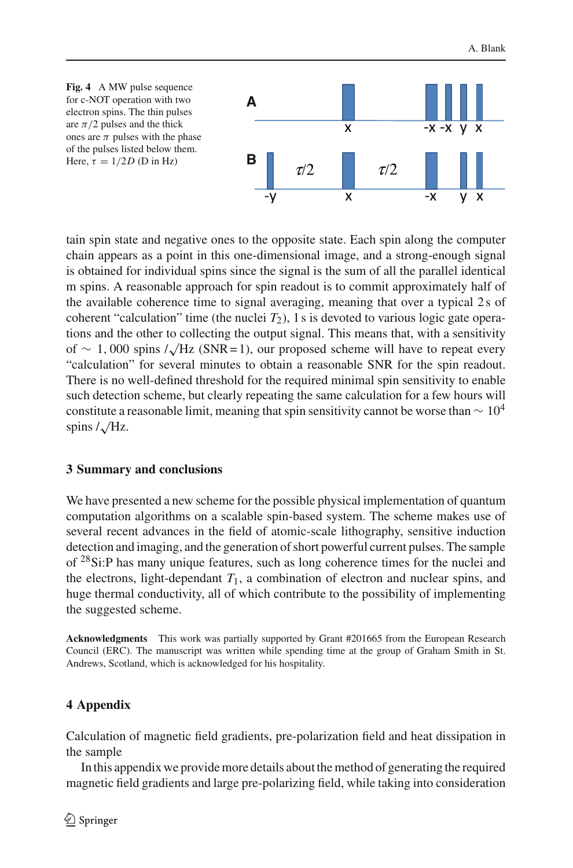<span id="page-9-0"></span>

tain spin state and negative ones to the opposite state. Each spin along the computer chain appears as a point in this one-dimensional image, and a strong-enough signal is obtained for individual spins since the signal is the sum of all the parallel identical m spins. A reasonable approach for spin readout is to commit approximately half of the available coherence time to signal averaging, meaning that over a typical 2 s of coherent "calculation" time (the nuclei  $T_2$ ), 1 s is devoted to various logic gate operations and the other to collecting the output signal. This means that, with a sensitivity of  $\sim$  1, 000 spins /√Hz (SNR = 1), our proposed scheme will have to repeat every "calculation" for several minutes to obtain a reasonable SNR for the spin readout. There is no well-defined threshold for the required minimal spin sensitivity to enable such detection scheme, but clearly repeating the same calculation for a few hours will constitute a reasonable limit, meaning that spin sensitivity cannot be worse than  $\sim 10^4$ spins  $/\sqrt{\text{Hz}}$ .

### **3 Summary and conclusions**

We have presented a new scheme for the possible physical implementation of quantum computation algorithms on a scalable spin-based system. The scheme makes use of several recent advances in the field of atomic-scale lithography, sensitive induction detection and imaging, and the generation of short powerful current pulses. The sample of  $28$ Si:P has many unique features, such as long coherence times for the nuclei and the electrons, light-dependant  $T_1$ , a combination of electron and nuclear spins, and huge thermal conductivity, all of which contribute to the possibility of implementing the suggested scheme.

**Acknowledgments** This work was partially supported by Grant #201665 from the European Research Council (ERC). The manuscript was written while spending time at the group of Graham Smith in St. Andrews, Scotland, which is acknowledged for his hospitality.

### **4 Appendix**

Calculation of magnetic field gradients, pre-polarization field and heat dissipation in the sample

In this appendix we provide more details about the method of generating the required magnetic field gradients and large pre-polarizing field, while taking into consideration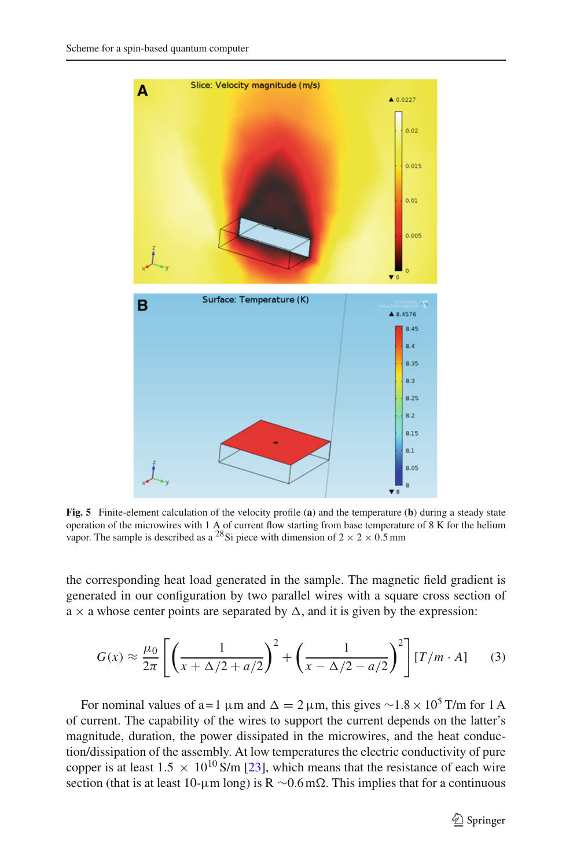

<span id="page-10-0"></span>**Fig. 5** Finite-element calculation of the velocity profile (**a**) and the temperature (**b**) during a steady state operation of the microwires with 1 A of current flow starting from base temperature of 8 K for the helium vapor. The sample is described as a <sup>28</sup>Si piece with dimension of  $2 \times 2 \times 0.5$  mm

the corresponding heat load generated in the sample. The magnetic field gradient is generated in our configuration by two parallel wires with a square cross section of  $a \times a$  whose center points are separated by  $\Delta$ , and it is given by the expression:

$$
G(x) \approx \frac{\mu_0}{2\pi} \left[ \left( \frac{1}{x + \Delta/2 + a/2} \right)^2 + \left( \frac{1}{x - \Delta/2 - a/2} \right)^2 \right] [T/m \cdot A] \tag{3}
$$

For nominal values of a = 1 µm and  $\Delta = 2 \mu$ m, this gives ~1.8 × 10<sup>5</sup> T/m for 1 A of current. The capability of the wires to support the current depends on the latter's magnitude, duration, the power dissipated in the microwires, and the heat conduction/dissipation of the assembly. At low temperatures the electric conductivity of pure copper is at least  $1.5 \times 10^{10}$  S/m [\[23\]](#page-13-6), which means that the resistance of each wire section (that is at least 10-µm long) is R  $\sim 0.6$  m $\Omega$ . This implies that for a continuous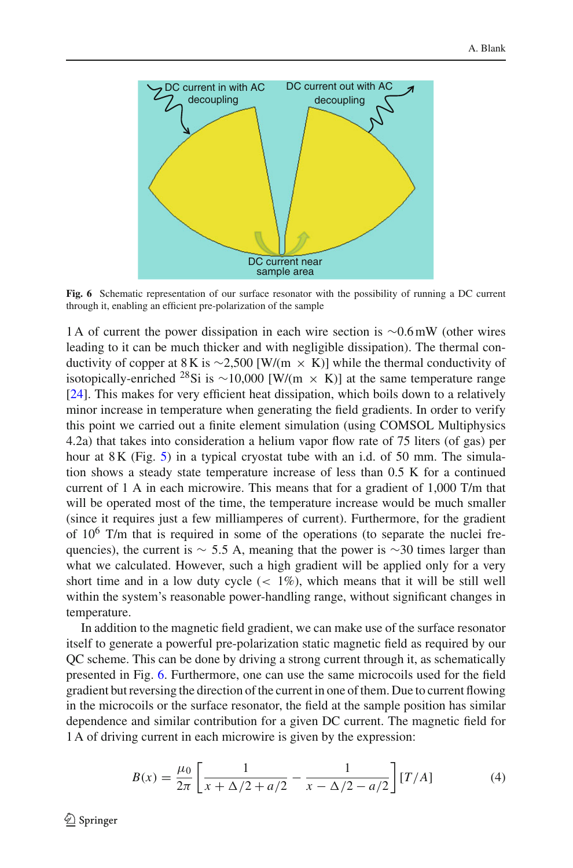

<span id="page-11-0"></span>**Fig. 6** Schematic representation of our surface resonator with the possibility of running a DC current through it, enabling an efficient pre-polarization of the sample

1 A of current the power dissipation in each wire section is ∼0.6 mW (other wires leading to it can be much thicker and with negligible dissipation). The thermal conductivity of copper at 8 K is ~2,500 [W/(m  $\times$  K)] while the thermal conductivity of isotopically-enriched <sup>28</sup>Si is ~10,000 [W/(m × K)] at the same temperature range [\[24](#page-13-7)]. This makes for very efficient heat dissipation, which boils down to a relatively minor increase in temperature when generating the field gradients. In order to verify this point we carried out a finite element simulation (using COMSOL Multiphysics 4.2a) that takes into consideration a helium vapor flow rate of 75 liters (of gas) per hour at 8 K (Fig. [5\)](#page-10-0) in a typical cryostat tube with an i.d. of 50 mm. The simulation shows a steady state temperature increase of less than 0.5 K for a continued current of 1 A in each microwire. This means that for a gradient of 1,000 T/m that will be operated most of the time, the temperature increase would be much smaller (since it requires just a few milliamperes of current). Furthermore, for the gradient of  $10^6$  T/m that is required in some of the operations (to separate the nuclei frequencies), the current is  $\sim$  5.5 A, meaning that the power is  $\sim$ 30 times larger than what we calculated. However, such a high gradient will be applied only for a very short time and in a low duty cycle  $(< 1\%)$ , which means that it will be still well within the system's reasonable power-handling range, without significant changes in temperature.

In addition to the magnetic field gradient, we can make use of the surface resonator itself to generate a powerful pre-polarization static magnetic field as required by our QC scheme. This can be done by driving a strong current through it, as schematically presented in Fig. [6.](#page-11-0) Furthermore, one can use the same microcoils used for the field gradient but reversing the direction of the current in one of them. Due to current flowing in the microcoils or the surface resonator, the field at the sample position has similar dependence and similar contribution for a given DC current. The magnetic field for 1 A of driving current in each microwire is given by the expression:

$$
B(x) = \frac{\mu_0}{2\pi} \left[ \frac{1}{x + \Delta/2 + a/2} - \frac{1}{x - \Delta/2 - a/2} \right] [T/A]
$$
 (4)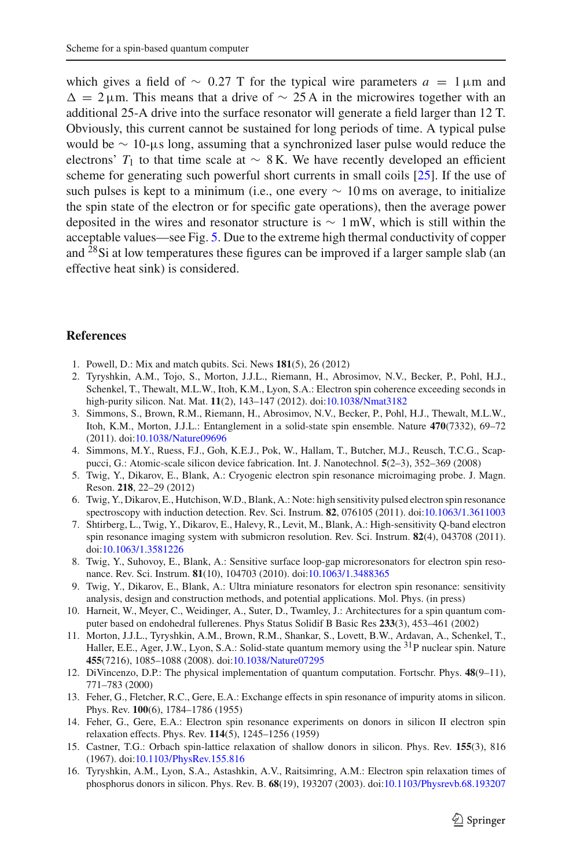which gives a field of  $\sim$  0.27 T for the typical wire parameters  $a = 1 \,\mu \text{m}$  and  $\Delta = 2 \mu$ m. This means that a drive of ~ 25 A in the microwires together with an additional 25-A drive into the surface resonator will generate a field larger than 12 T. Obviously, this current cannot be sustained for long periods of time. A typical pulse would be ∼ 10-µs long, assuming that a synchronized laser pulse would reduce the electrons'  $T_1$  to that time scale at ~ 8 K. We have recently developed an efficient scheme for generating such powerful short currents in small coils [\[25](#page-13-8)]. If the use of such pulses is kept to a minimum (i.e., one every  $\sim 10$  ms on average, to initialize the spin state of the electron or for specific gate operations), then the average power deposited in the wires and resonator structure is  $\sim 1 \text{ mW}$ , which is still within the acceptable values—see Fig. [5.](#page-10-0) Due to the extreme high thermal conductivity of copper and  $^{28}$ Si at low temperatures these figures can be improved if a larger sample slab (an effective heat sink) is considered.

#### <span id="page-12-0"></span>**References**

- 1. Powell, D.: Mix and match qubits. Sci. News **181**(5), 26 (2012)
- <span id="page-12-1"></span>2. Tyryshkin, A.M., Tojo, S., Morton, J.J.L., Riemann, H., Abrosimov, N.V., Becker, P., Pohl, H.J., Schenkel, T., Thewalt, M.L.W., Itoh, K.M., Lyon, S.A.: Electron spin coherence exceeding seconds in high-purity silicon. Nat. Mat. **11**(2), 143–147 (2012). doi[:10.1038/Nmat3182](http://dx.doi.org/10.1038/Nmat3182)
- <span id="page-12-2"></span>3. Simmons, S., Brown, R.M., Riemann, H., Abrosimov, N.V., Becker, P., Pohl, H.J., Thewalt, M.L.W., Itoh, K.M., Morton, J.J.L.: Entanglement in a solid-state spin ensemble. Nature **470**(7332), 69–72 (2011). doi[:10.1038/Nature09696](http://dx.doi.org/10.1038/Nature09696)
- <span id="page-12-3"></span>4. Simmons, M.Y., Ruess, F.J., Goh, K.E.J., Pok, W., Hallam, T., Butcher, M.J., Reusch, T.C.G., Scappucci, G.: Atomic-scale silicon device fabrication. Int. J. Nanotechnol. **5**(2–3), 352–369 (2008)
- <span id="page-12-4"></span>5. Twig, Y., Dikarov, E., Blank, A.: Cryogenic electron spin resonance microimaging probe. J. Magn. Reson. **218**, 22–29 (2012)
- <span id="page-12-5"></span>6. Twig, Y., Dikarov, E., Hutchison, W.D., Blank, A.: Note: high sensitivity pulsed electron spin resonance spectroscopy with induction detection. Rev. Sci. Instrum. **82**, 076105 (2011). doi[:10.1063/1.3611003](http://dx.doi.org/10.1063/1.3611003)
- <span id="page-12-6"></span>7. Shtirberg, L., Twig, Y., Dikarov, E., Halevy, R., Levit, M., Blank, A.: High-sensitivity Q-band electron spin resonance imaging system with submicron resolution. Rev. Sci. Instrum. **82**(4), 043708 (2011). doi[:10.1063/1.3581226](http://dx.doi.org/10.1063/1.3581226)
- <span id="page-12-7"></span>8. Twig, Y., Suhovoy, E., Blank, A.: Sensitive surface loop-gap microresonators for electron spin resonance. Rev. Sci. Instrum. **81**(10), 104703 (2010). doi[:10.1063/1.3488365](http://dx.doi.org/10.1063/1.3488365)
- 9. Twig, Y., Dikarov, E., Blank, A.: Ultra miniature resonators for electron spin resonance: sensitivity analysis, design and construction methods, and potential applications. Mol. Phys. (in press)
- <span id="page-12-9"></span><span id="page-12-8"></span>10. Harneit, W., Meyer, C., Weidinger, A., Suter, D., Twamley, J.: Architectures for a spin quantum computer based on endohedral fullerenes. Phys Status Solidif B Basic Res **233**(3), 453–461 (2002)
- <span id="page-12-10"></span>11. Morton, J.J.L., Tyryshkin, A.M., Brown, R.M., Shankar, S., Lovett, B.W., Ardavan, A., Schenkel, T., Haller, E.E., Ager, J.W., Lyon, S.A.: Solid-state quantum memory using the <sup>31</sup>P nuclear spin. Nature **455**(7216), 1085–1088 (2008). doi[:10.1038/Nature07295](http://dx.doi.org/10.1038/Nature07295)
- <span id="page-12-11"></span>12. DiVincenzo, D.P.: The physical implementation of quantum computation. Fortschr. Phys. **48**(9–11), 771–783 (2000)
- <span id="page-12-12"></span>13. Feher, G., Fletcher, R.C., Gere, E.A.: Exchange effects in spin resonance of impurity atoms in silicon. Phys. Rev. **100**(6), 1784–1786 (1955)
- <span id="page-12-13"></span>14. Feher, G., Gere, E.A.: Electron spin resonance experiments on donors in silicon II electron spin relaxation effects. Phys. Rev. **114**(5), 1245–1256 (1959)
- <span id="page-12-14"></span>15. Castner, T.G.: Orbach spin-lattice relaxation of shallow donors in silicon. Phys. Rev. **155**(3), 816 (1967). doi[:10.1103/PhysRev.155.816](http://dx.doi.org/10.1103/PhysRev.155.816)
- <span id="page-12-15"></span>16. Tyryshkin, A.M., Lyon, S.A., Astashkin, A.V., Raitsimring, A.M.: Electron spin relaxation times of phosphorus donors in silicon. Phys. Rev. B. **68**(19), 193207 (2003). doi[:10.1103/Physrevb.68.193207](http://dx.doi.org/10.1103/Physrevb.68.193207)